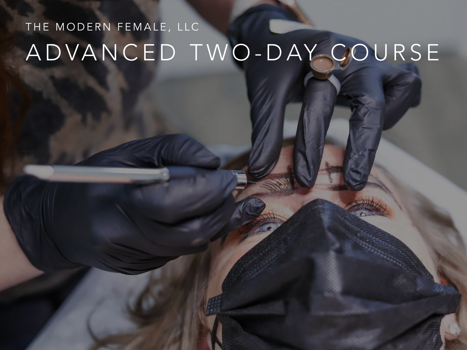# ADVANCED TWO-DAY COURSE THE MODERN FEMALE, LLC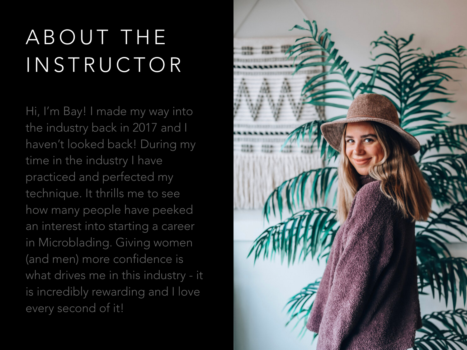# ABOUT THE INSTRUCTOR

Hi, I'm Bay! I made my way into the industry back in 2017 and I haven't looked back! During my time in the industry I have practiced and perfected my technique. It thrills me to see how many people have peeked an interest into starting a career in Microblading. Giving women (and men) more confidence is what drives me in this industry - it is incredibly rewarding and I love every second of it!

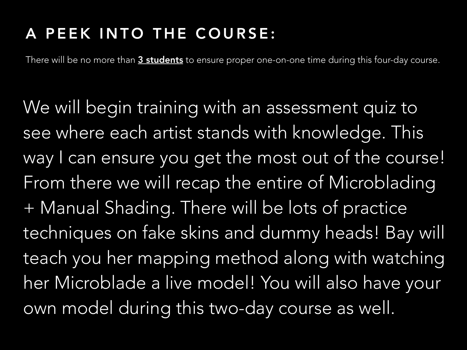### PEEK INTO THE COURSE:

There will be no more than 3 students to ensure proper one-on-one time during this four-day course.

We will begin training with an assessment quiz to see where each artist stands with knowledge. This way I can ensure you get the most out of the course! From there we will recap the entire of Microblading + Manual Shading. There will be lots of practice techniques on fake skins and dummy heads! Bay will teach you her mapping method along with watching her Microblade a live model! You will also have your own model during this two-day course as well.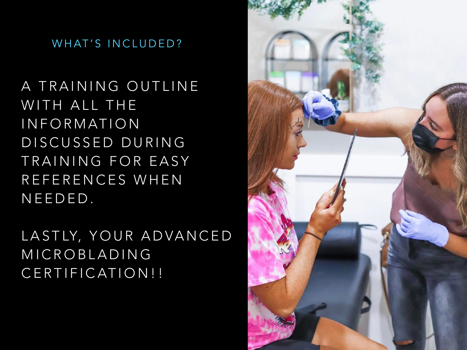#### WHAT'S INCLUDED?

A TRAINING OUTLINE WITH ALL THE INFORMATION DISCUSSED DURING TRAINING FOR EASY REFERENCES WHEN NEEDED.

LASTLY, YOUR ADVANCED MICROBLADING CERTIFICATION!!